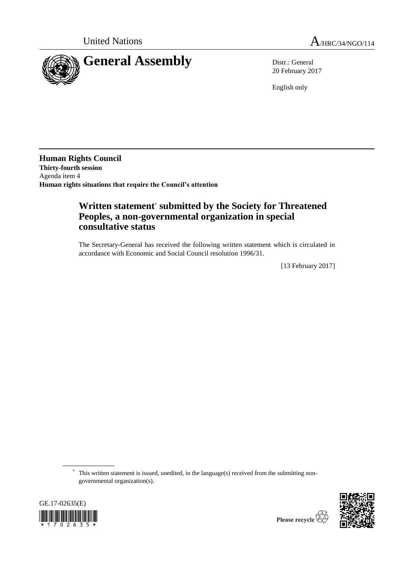

20 February 2017

English only

**Human Rights Council Thirty-fourth session** Agenda item 4 **Human rights situations that require the Council's attention**

## **Written statement**\* **submitted by the Society for Threatened Peoples, a non-governmental organization in special consultative status**

The Secretary-General has received the following written statement which is circulated in accordance with Economic and Social Council resolution 1996/31.

[13 February 2017]

\* This written statement is issued, unedited, in the language(s) received from the submitting nongovernmental organization(s).